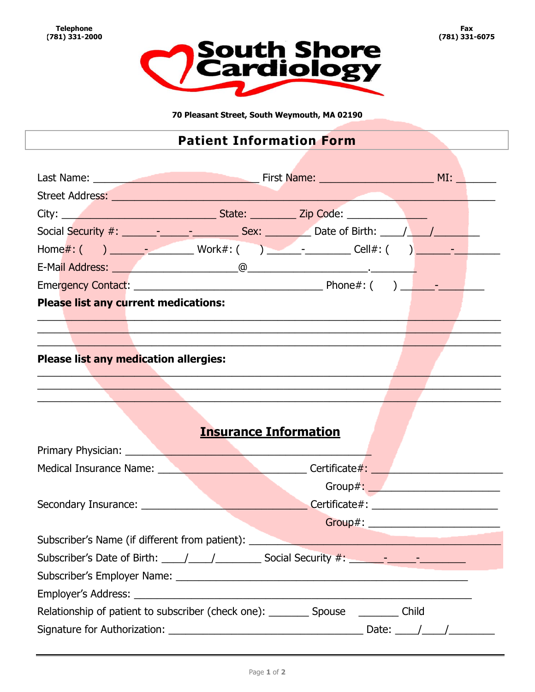

70 Pleasant Street, South Weymouth, MA 02190

## **Patient Information Form**

|                                       | Social Security #: _______________________________Sex: ____________Date of Birth: __________________                 |  |
|---------------------------------------|----------------------------------------------------------------------------------------------------------------------|--|
|                                       |                                                                                                                      |  |
|                                       |                                                                                                                      |  |
|                                       |                                                                                                                      |  |
| Please list any current medications:  | ,我们也不会有什么?""我们不会有什么?""我们不会有什么?""我们不会有什么?""我们不会有什么?""我们不会有什么?""我们不会有什么?""我们不会有什么?                                     |  |
| Please list any medication allergies: | <u> 1990 - Johann Barbara, marka a shekara ta 1991 - An tsa a shekara ta 1991 - An tsa a shekara tsa a shekara t</u> |  |
|                                       | <b>Insurance Information</b>                                                                                         |  |
|                                       | Medical Insurance Name: ___________________________________Certificate#: ___________________________                 |  |
|                                       |                                                                                                                      |  |
|                                       |                                                                                                                      |  |
|                                       |                                                                                                                      |  |
|                                       | Subscriber's Name (if different from patient): Name of the subscriber's Name (if different from patient):            |  |
|                                       | Subscriber's Date of Birth: 11 12 12 12 12 12 12 12 12 13 14 15 16 17 18 17 18 19 19 10 11 12 12 12 12 12 12 1       |  |
|                                       |                                                                                                                      |  |
|                                       |                                                                                                                      |  |
|                                       | Relationship of patient to subscriber (check one): __________ Spouse __________ Child                                |  |
|                                       |                                                                                                                      |  |